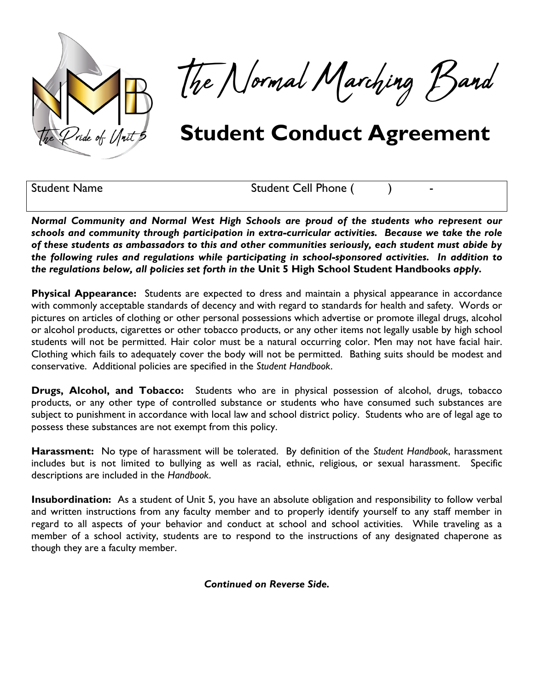

The Normal Marching Band

## **Student Conduct Agreement**

Student Name Student Cell Phone ( )

*Normal Community and Normal West High Schools are proud of the students who represent our schools and community through participation in extra-curricular activities. Because we take the role of these students as ambassadors to this and other communities seriously, each student must abide by the following rules and regulations while participating in school-sponsored activities. In addition to the regulations below, all policies set forth in the* **Unit 5 High School Student Handbooks** *apply.*

**Physical Appearance:** Students are expected to dress and maintain a physical appearance in accordance with commonly acceptable standards of decency and with regard to standards for health and safety. Words or pictures on articles of clothing or other personal possessions which advertise or promote illegal drugs, alcohol or alcohol products, cigarettes or other tobacco products, or any other items not legally usable by high school students will not be permitted. Hair color must be a natural occurring color. Men may not have facial hair. Clothing which fails to adequately cover the body will not be permitted. Bathing suits should be modest and conservative. Additional policies are specified in the *Student Handbook*.

**Drugs, Alcohol, and Tobacco:** Students who are in physical possession of alcohol, drugs, tobacco products, or any other type of controlled substance or students who have consumed such substances are subject to punishment in accordance with local law and school district policy. Students who are of legal age to possess these substances are not exempt from this policy.

**Harassment:** No type of harassment will be tolerated. By definition of the *Student Handbook*, harassment includes but is not limited to bullying as well as racial, ethnic, religious, or sexual harassment. Specific descriptions are included in the *Handbook*.

**Insubordination:** As a student of Unit 5, you have an absolute obligation and responsibility to follow verbal and written instructions from any faculty member and to properly identify yourself to any staff member in regard to all aspects of your behavior and conduct at school and school activities. While traveling as a member of a school activity, students are to respond to the instructions of any designated chaperone as though they are a faculty member.

*Continued on Reverse Side.*